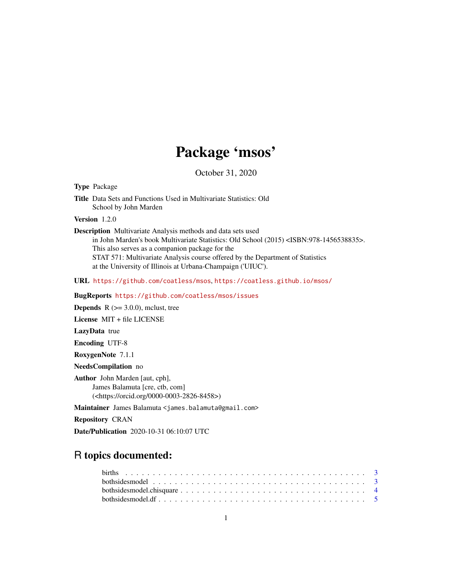# Package 'msos'

October 31, 2020

<span id="page-0-0"></span>Type Package

Title Data Sets and Functions Used in Multivariate Statistics: Old School by John Marden

Version 1.2.0

Description Multivariate Analysis methods and data sets used in John Marden's book Multivariate Statistics: Old School (2015) <ISBN:978-1456538835>. This also serves as a companion package for the STAT 571: Multivariate Analysis course offered by the Department of Statistics at the University of Illinois at Urbana-Champaign ('UIUC').

URL <https://github.com/coatless/msos>, <https://coatless.github.io/msos/>

BugReports <https://github.com/coatless/msos/issues>

**Depends** R  $(>= 3.0.0)$ , mclust, tree

License MIT + file LICENSE

LazyData true

Encoding UTF-8

RoxygenNote 7.1.1

NeedsCompilation no

Author John Marden [aut, cph], James Balamuta [cre, ctb, com] (<https://orcid.org/0000-0003-2826-8458>)

Maintainer James Balamuta <james.balamuta@gmail.com>

Repository CRAN

Date/Publication 2020-10-31 06:10:07 UTC

## R topics documented: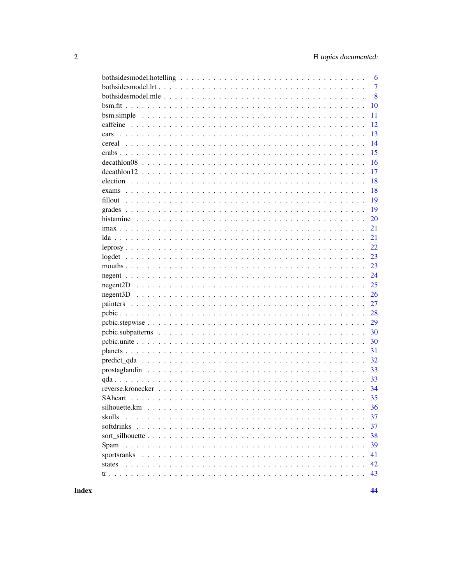|             | 6              |
|-------------|----------------|
|             | $\overline{7}$ |
|             | 8              |
|             | 10             |
|             | 11             |
|             | 12             |
| cars        | 13             |
|             | 14             |
|             | 15             |
|             | 16             |
|             | 17             |
|             | 18             |
|             | 18             |
|             | 19             |
|             | 19             |
|             | 20             |
|             | 21             |
|             | 21             |
|             | 22             |
|             | 23             |
|             | 23             |
|             | 24             |
|             | 25             |
|             | 26             |
|             | 27             |
|             | 28             |
|             | 29             |
|             | 30             |
|             | 30             |
|             | 31             |
|             | 32             |
|             | 33             |
|             | 33             |
|             | 34             |
|             | 35             |
|             | 36             |
| skulls      | 37             |
| softdrinks  | 37             |
|             | 38             |
| Spam        | 39             |
| sportsranks | 41             |
| states      | 42             |
|             | 43             |
|             |                |

**Index**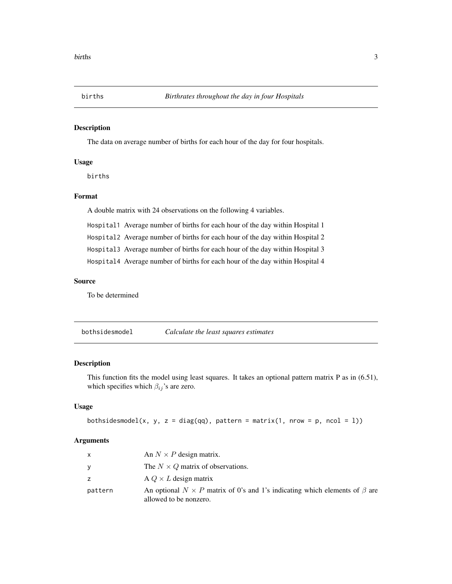<span id="page-2-0"></span>

The data on average number of births for each hour of the day for four hospitals.

### Usage

births

#### Format

A double matrix with 24 observations on the following 4 variables.

Hospital1 Average number of births for each hour of the day within Hospital 1

Hospital2 Average number of births for each hour of the day within Hospital 2

Hospital3 Average number of births for each hour of the day within Hospital 3

Hospital4 Average number of births for each hour of the day within Hospital 4

#### Source

To be determined

<span id="page-2-1"></span>bothsidesmodel *Calculate the least squares estimates*

#### Description

This function fits the model using least squares. It takes an optional pattern matrix P as in (6.51), which specifies which  $\beta_{ij}$ 's are zero.

#### Usage

```
bothsidesmodel(x, y, z = diag(qq), pattern = matrix(1, nrow = p, ncol = l))
```
#### Arguments

| X       | An $N \times P$ design matrix.                                                                                    |
|---------|-------------------------------------------------------------------------------------------------------------------|
| У       | The $N \times Q$ matrix of observations.                                                                          |
| z       | $A Q \times L$ design matrix                                                                                      |
| pattern | An optional $N \times P$ matrix of 0's and 1's indicating which elements of $\beta$ are<br>allowed to be nonzero. |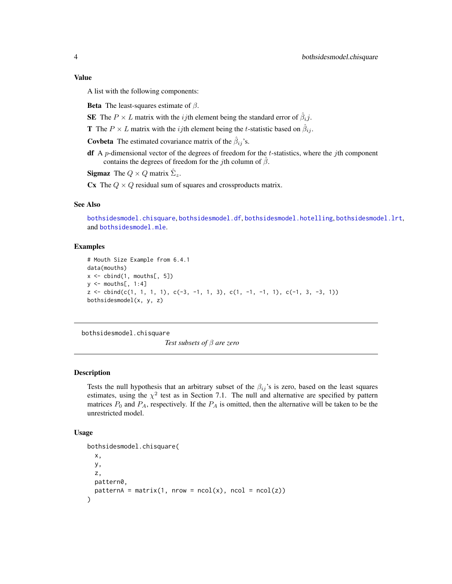#### <span id="page-3-0"></span>Value

A list with the following components:

**Beta** The least-squares estimate of  $\beta$ .

SE The  $P \times L$  matrix with the *ij*th element being the standard error of  $\hat{\beta}_i j$ .

**T** The  $P \times L$  matrix with the *ij*th element being the *t*-statistic based on  $\hat{\beta}_{ij}$ .

**Covbeta** The estimated covariance matrix of the  $\hat{\beta}_{ij}$ 's.

**df** A p-dimensional vector of the degrees of freedom for the t-statistics, where the jth component contains the degrees of freedom for the *j*th column of  $\hat{\beta}$ .

**Sigmaz** The  $Q \times Q$  matrix  $\hat{\Sigma}_z$ .

Cx The  $Q \times Q$  residual sum of squares and crossproducts matrix.

#### See Also

[bothsidesmodel.chisquare](#page-3-1), [bothsidesmodel.df](#page-4-1), [bothsidesmodel.hotelling](#page-5-1), [bothsidesmodel.lrt](#page-6-1), and [bothsidesmodel.mle](#page-7-1).

#### Examples

```
# Mouth Size Example from 6.4.1
data(mouths)
x \leftarrow \text{cbind}(1, \text{mouths[, } 5])y \le - mouths[, 1:4]
z \le cbind(c(1, 1, 1, 1), c(-3, -1, 1, 3), c(1, -1, -1, 1), c(-1, 3, -3, 1))
bothsidesmodel(x, y, z)
```
<span id="page-3-1"></span>bothsidesmodel.chisquare

*Test subsets of* β *are zero*

#### Description

Tests the null hypothesis that an arbitrary subset of the  $\beta_{ij}$ 's is zero, based on the least squares estimates, using the  $\chi^2$  test as in Section 7.1. The null and alternative are specified by pattern matrices  $P_0$  and  $P_A$ , respectively. If the  $P_A$  is omitted, then the alternative will be taken to be the unrestricted model.

#### Usage

```
bothsidesmodel.chisquare(
  x,
 y,
  z,
 pattern0,
 patternA = matrix(1, nrow = ncol(x), ncol = ncol(z)))
```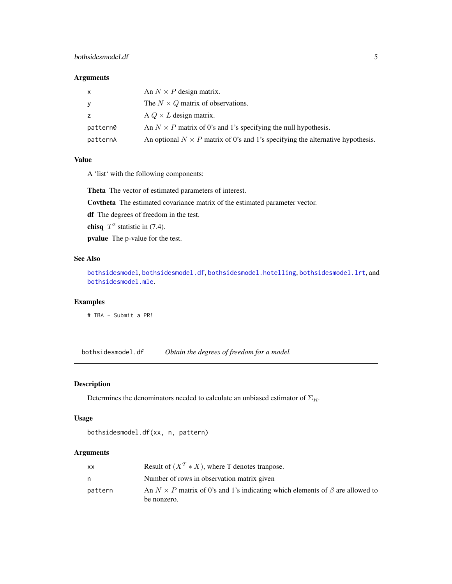### <span id="page-4-0"></span>bothsidesmodel.df 5

### Arguments

| x        | An $N \times P$ design matrix.                                                        |
|----------|---------------------------------------------------------------------------------------|
|          | The $N \times Q$ matrix of observations.                                              |
|          | $A Q \times L$ design matrix.                                                         |
| pattern0 | An $N \times P$ matrix of 0's and 1's specifying the null hypothesis.                 |
| patternA | An optional $N \times P$ matrix of 0's and 1's specifying the alternative hypothesis. |

### Value

A 'list' with the following components:

Theta The vector of estimated parameters of interest.

Covtheta The estimated covariance matrix of the estimated parameter vector.

df The degrees of freedom in the test.

chisq  $T^2$  statistic in (7.4).

pvalue The p-value for the test.

#### See Also

[bothsidesmodel](#page-2-1), [bothsidesmodel.df](#page-4-1), [bothsidesmodel.hotelling](#page-5-1), [bothsidesmodel.lrt](#page-6-1), and [bothsidesmodel.mle](#page-7-1).

### Examples

# TBA - Submit a PR!

<span id="page-4-1"></span>bothsidesmodel.df *Obtain the degrees of freedom for a model.*

## Description

Determines the denominators needed to calculate an unbiased estimator of  $\Sigma_R$ .

#### Usage

```
bothsidesmodel.df(xx, n, pattern)
```
### Arguments

| XX      | Result of $(X^T * X)$ , where T denotes transpose.                                        |
|---------|-------------------------------------------------------------------------------------------|
| n       | Number of rows in observation matrix given                                                |
| pattern | An $N \times P$ matrix of 0's and 1's indicating which elements of $\beta$ are allowed to |
|         | be nonzero.                                                                               |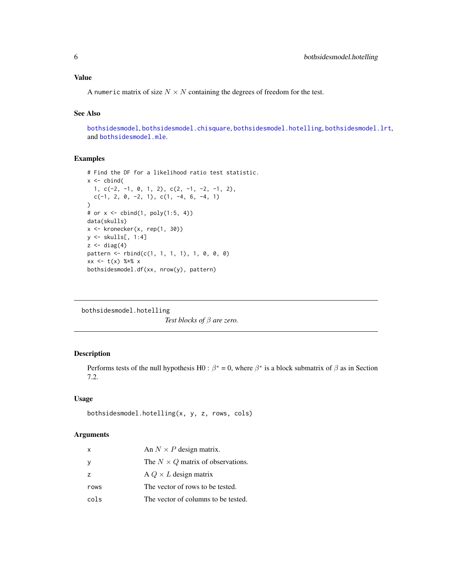### <span id="page-5-0"></span>Value

A numeric matrix of size  $N \times N$  containing the degrees of freedom for the test.

### See Also

[bothsidesmodel](#page-2-1), [bothsidesmodel.chisquare](#page-3-1), [bothsidesmodel.hotelling](#page-5-1), [bothsidesmodel.lrt](#page-6-1), and [bothsidesmodel.mle](#page-7-1).

### Examples

```
# Find the DF for a likelihood ratio test statistic.
x \le - cbind(
  1, c(-2, -1, 0, 1, 2), c(2, -1, -2, -1, 2),c(-1, 2, 0, -2, 1), c(1, -4, 6, -4, 1)
\lambda# or x <- cbind(1, poly(1:5, 4))
data(skulls)
x \leftarrow kronecker(x, \text{rep}(1, 30))y <- skulls[, 1:4]
z \leftarrow diag(4)pattern <- rbind(c(1, 1, 1, 1), 1, 0, 0, 0)
xx \leq t(x) %*% x
bothsidesmodel.df(xx, nrow(y), pattern)
```
<span id="page-5-1"></span>bothsidesmodel.hotelling

*Test blocks of* β *are zero.*

### Description

Performs tests of the null hypothesis H0 :  $\beta^* = 0$ , where  $\beta^*$  is a block submatrix of  $\beta$  as in Section 7.2.

#### Usage

```
bothsidesmodel.hotelling(x, y, z, rows, cols)
```
#### Arguments

| x    | An $N \times P$ design matrix.           |
|------|------------------------------------------|
| у    | The $N \times Q$ matrix of observations. |
| Z    | A $Q \times L$ design matrix             |
| rows | The vector of rows to be tested.         |
| cols | The vector of columns to be tested.      |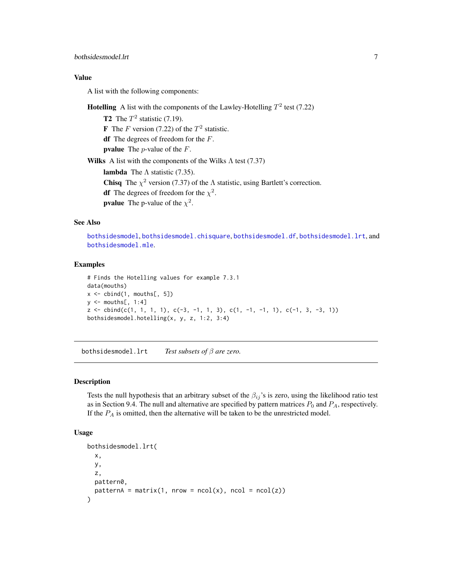### <span id="page-6-0"></span>bothsidesmodel.lrt 7

### Value

A list with the following components:

**Hotelling** A list with the components of the Lawley-Hotelling  $T^2$  test (7.22)

**T2** The  $T^2$  statistic (7.19). **F** The *F* version (7.22) of the  $T^2$  statistic. df The degrees of freedom for the  $F$ . **pvalue** The *p*-value of the  $F$ . Wilks A list with the components of the Wilks  $\Lambda$  test (7.37) lambda The  $\Lambda$  statistic (7.35). **Chisq** The  $\chi^2$  version (7.37) of the  $\Lambda$  statistic, using Bartlett's correction. **df** The degrees of freedom for the  $\chi^2$ . **pvalue** The p-value of the  $\chi^2$ .

### See Also

[bothsidesmodel](#page-2-1), [bothsidesmodel.chisquare](#page-3-1), [bothsidesmodel.df](#page-4-1), [bothsidesmodel.lrt](#page-6-1), and [bothsidesmodel.mle](#page-7-1).

#### Examples

```
# Finds the Hotelling values for example 7.3.1
data(mouths)
x \le cbind(1, mouths[, 5])
y \le - mouths[, 1:4]
z \le cbind(c(1, 1, 1, 1), c(-3, -1, 1, 3), c(1, -1, -1, 1), c(-1, 3, -3, 1))
bothsidesmodel.hotelling(x, y, z, 1:2, 3:4)
```
<span id="page-6-1"></span>bothsidesmodel.lrt *Test subsets of* β *are zero.*

### Description

Tests the null hypothesis that an arbitrary subset of the  $\beta_{ij}$ 's is zero, using the likelihood ratio test as in Section 9.4. The null and alternative are specified by pattern matrices  $P_0$  and  $P_A$ , respectively. If the  $P_A$  is omitted, then the alternative will be taken to be the unrestricted model.

#### Usage

```
bothsidesmodel.lrt(
  x,
 y,
 z,
 pattern0,
 patternA = matrix(1, nrow = ncol(x), ncol = ncol(z)))
```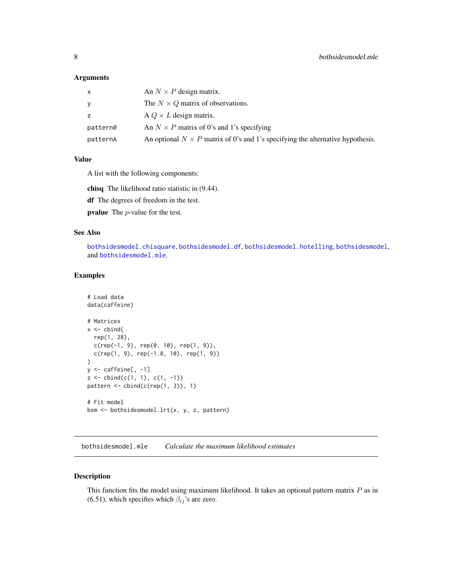#### <span id="page-7-0"></span>Arguments

| x        | An $N \times P$ design matrix.                                                        |
|----------|---------------------------------------------------------------------------------------|
|          | The $N \times Q$ matrix of observations.                                              |
| Z.       | A $Q \times L$ design matrix.                                                         |
| pattern0 | An $N \times P$ matrix of 0's and 1's specifying                                      |
| patternA | An optional $N \times P$ matrix of 0's and 1's specifying the alternative hypothesis. |

#### Value

A list with the following components:

chisq The likelihood ratio statistic in (9.44).

df The degrees of freedom in the test.

pvalue The p-value for the test.

#### See Also

[bothsidesmodel.chisquare](#page-3-1), [bothsidesmodel.df](#page-4-1), [bothsidesmodel.hotelling](#page-5-1), [bothsidesmodel](#page-2-1), and [bothsidesmodel.mle](#page-7-1).

### Examples

```
# Load data
data(caffeine)
# Matrices
x \leftarrow \text{cbind}(rep(1, 28),
  c(rep(-1, 9), rep(0, 10), rep(1, 9)),c(rep(1, 9), rep(-1.8, 10), rep(1, 9))
)
y \leftarrow \text{caffeine}[, -1]z \le cbind(c(1, 1), c(1, -1))
pattern <- cbind(c(rep(1, 3)), 1)
# Fit model
bsm <- bothsidesmodel.lrt(x, y, z, pattern)
```
<span id="page-7-1"></span>bothsidesmodel.mle *Calculate the maximum likelihood estimates*

#### Description

This function fits the model using maximum likelihood. It takes an optional pattern matrix  $P$  as in (6.51), which specifies which  $\beta_{ij}$ 's are zero.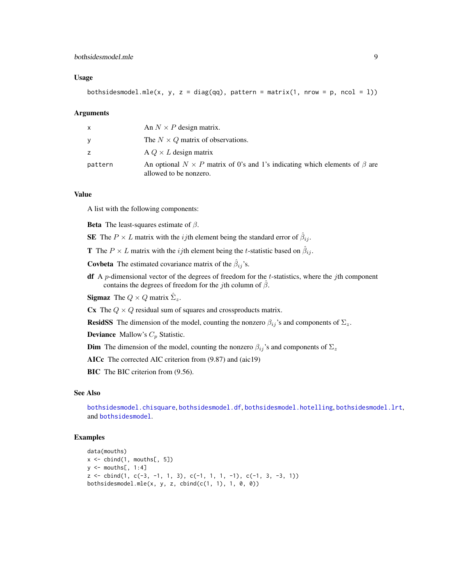### <span id="page-8-0"></span>bothsidesmodel.mle 9

#### Usage

bothsidesmodel.mle(x, y, z = diag(qq), pattern = matrix(1, nrow = p, ncol = 1))

#### Arguments

| x       | An $N \times P$ design matrix.                                                                                    |
|---------|-------------------------------------------------------------------------------------------------------------------|
| v       | The $N \times Q$ matrix of observations.                                                                          |
| Z.      | A $Q \times L$ design matrix                                                                                      |
| pattern | An optional $N \times P$ matrix of 0's and 1's indicating which elements of $\beta$ are<br>allowed to be nonzero. |

#### Value

A list with the following components:

**Beta** The least-squares estimate of  $\beta$ .

**SE** The  $P \times L$  matrix with the *ij*th element being the standard error of  $\hat{\beta}_{ij}$ .

**T** The  $P \times L$  matrix with the *ij*th element being the *t*-statistic based on  $\hat{\beta}_{ij}$ .

**Covbeta** The estimated covariance matrix of the  $\hat{\beta}_{ij}$ 's.

**df** A p-dimensional vector of the degrees of freedom for the t-statistics, where the jth component contains the degrees of freedom for the *j*th column of  $\hat{\beta}$ .

**Sigmaz** The  $Q \times Q$  matrix  $\hat{\Sigma}_z$ .

Cx The  $Q \times Q$  residual sum of squares and crossproducts matrix.

**ResidSS** The dimension of the model, counting the nonzero  $\beta_{ij}$ 's and components of  $\Sigma_z$ .

**Deviance** Mallow's  $C_p$  Statistic.

**Dim** The dimension of the model, counting the nonzero  $\beta_{ij}$ 's and components of  $\Sigma_z$ 

AICc The corrected AIC criterion from (9.87) and (aic19)

BIC The BIC criterion from  $(9.56)$ .

#### See Also

[bothsidesmodel.chisquare](#page-3-1), [bothsidesmodel.df](#page-4-1), [bothsidesmodel.hotelling](#page-5-1), [bothsidesmodel.lrt](#page-6-1), and [bothsidesmodel](#page-2-1).

#### Examples

```
data(mouths)
x \leftarrow \text{cbind}(1, \text{mouths}[, 5])y \le - mouths[, 1:4]
z \leftarrow \text{cbind}(1, c(-3, -1, 1, 3), c(-1, 1, 1, -1), c(-1, 3, -3, 1))bothsidesmodel.mle(x, y, z, cbind(c(1, 1), 1, 0, 0))
```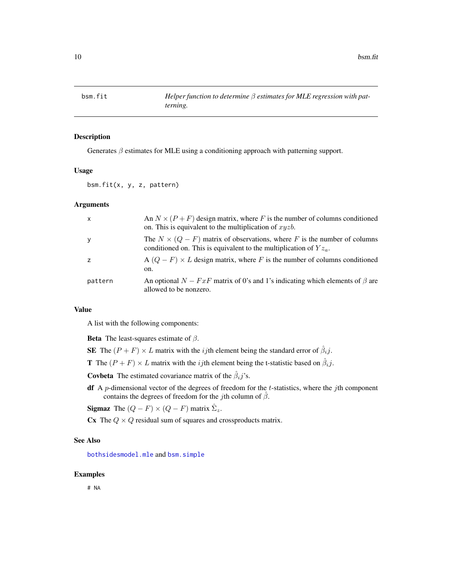<span id="page-9-1"></span><span id="page-9-0"></span>

Generates  $\beta$  estimates for MLE using a conditioning approach with patterning support.

#### Usage

bsm.fit(x, y, z, pattern)

#### Arguments

| $\mathsf{x}$ | An $N \times (P + F)$ design matrix, where F is the number of columns conditioned<br>on. This is equivalent to the multiplication of $xyzb$ .           |
|--------------|---------------------------------------------------------------------------------------------------------------------------------------------------------|
| y            | The $N \times (Q - F)$ matrix of observations, where F is the number of columns<br>conditioned on. This is equivalent to the multiplication of $Yz_a$ . |
|              | A $(Q - F) \times L$ design matrix, where F is the number of columns conditioned<br>on.                                                                 |
| pattern      | An optional $N - FxF$ matrix of 0's and 1's indicating which elements of $\beta$ are<br>allowed to be nonzero.                                          |

#### Value

A list with the following components:

**Beta** The least-squares estimate of  $\beta$ .

SE The  $(P + F) \times L$  matrix with the *ij*th element being the standard error of  $\hat{\beta}_i j$ .

**T** The  $(P + F) \times L$  matrix with the *ij*th element being the t-statistic based on  $\hat{\beta}_i j$ .

**Covbeta** The estimated covariance matrix of the  $\hat{\beta}_i j$ 's.

**df** A *p*-dimensional vector of the degrees of freedom for the *t*-statistics, where the *j*th component contains the degrees of freedom for the jth column of  $\hat{\beta}$ .

**Sigmaz** The  $(Q - F) \times (Q - F)$  matrix  $\hat{\Sigma}_z$ .

Cx The  $Q \times Q$  residual sum of squares and crossproducts matrix.

### See Also

[bothsidesmodel.mle](#page-7-1) and [bsm.simple](#page-10-1)

#### Examples

# NA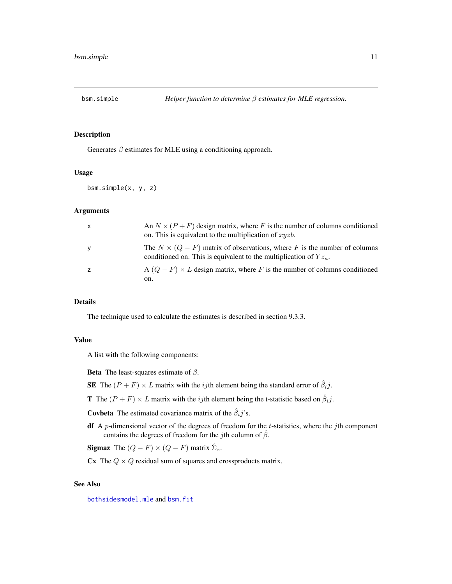<span id="page-10-1"></span><span id="page-10-0"></span>

Generates  $\beta$  estimates for MLE using a conditioning approach.

#### Usage

bsm.simple(x, y, z)

### Arguments

| $\mathsf{x}$   | An $N \times (P + F)$ design matrix, where F is the number of columns conditioned<br>on. This is equivalent to the multiplication of $xyzb$ .           |
|----------------|---------------------------------------------------------------------------------------------------------------------------------------------------------|
| y              | The $N \times (Q - F)$ matrix of observations, where F is the number of columns<br>conditioned on. This is equivalent to the multiplication of $Yz_a$ . |
| $\overline{z}$ | A $(Q - F) \times L$ design matrix, where F is the number of columns conditioned<br>on.                                                                 |

### Details

The technique used to calculate the estimates is described in section 9.3.3.

### Value

A list with the following components:

**Beta** The least-squares estimate of  $\beta$ .

SE The  $(P + F) \times L$  matrix with the *ij*th element being the standard error of  $\hat{\beta}_i j$ .

**T** The  $(P + F) \times L$  matrix with the *ij*th element being the t-statistic based on  $\hat{\beta}_i j$ .

**Covbeta** The estimated covariance matrix of the  $\hat{\beta}_i j$ 's.

df A  $p$ -dimensional vector of the degrees of freedom for the  $t$ -statistics, where the  $j$ th component contains the degrees of freedom for the *j*th column of  $\hat{\beta}$ .

**Sigmaz** The  $(Q - F) \times (Q - F)$  matrix  $\hat{\Sigma}_z$ .

Cx The  $Q \times Q$  residual sum of squares and crossproducts matrix.

#### See Also

[bothsidesmodel.mle](#page-7-1) and [bsm.fit](#page-9-1)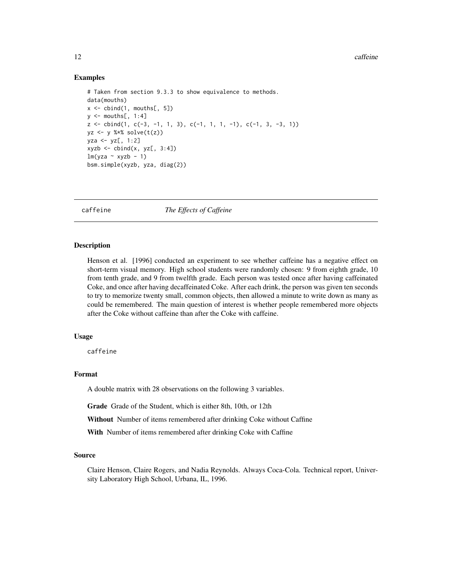#### <span id="page-11-0"></span>Examples

```
# Taken from section 9.3.3 to show equivalence to methods.
data(mouths)
x \le cbind(1, mouths[, 5])
y \le - mouths[, 1:4]
z \le cbind(1, c(-3, -1, 1, 3), c(-1, 1, 1, -1), c(-1, 3, -3, 1))
yz \leftarrow y %*% solve(t(z))
yza <- yz[, 1:2]
xyzb \leftarrow \text{cbind}(x, yz[, 3:4])lm(yza ~ xyzb - 1)bsm.simple(xyzb, yza, diag(2))
```
caffeine *The Effects of Caffeine*

#### **Description**

Henson et al. [1996] conducted an experiment to see whether caffeine has a negative effect on short-term visual memory. High school students were randomly chosen: 9 from eighth grade, 10 from tenth grade, and 9 from twelfth grade. Each person was tested once after having caffeinated Coke, and once after having decaffeinated Coke. After each drink, the person was given ten seconds to try to memorize twenty small, common objects, then allowed a minute to write down as many as could be remembered. The main question of interest is whether people remembered more objects after the Coke without caffeine than after the Coke with caffeine.

#### Usage

caffeine

### Format

A double matrix with 28 observations on the following 3 variables.

Grade Grade of the Student, which is either 8th, 10th, or 12th

Without Number of items remembered after drinking Coke without Caffine

With Number of items remembered after drinking Coke with Caffine

#### Source

Claire Henson, Claire Rogers, and Nadia Reynolds. Always Coca-Cola. Technical report, University Laboratory High School, Urbana, IL, 1996.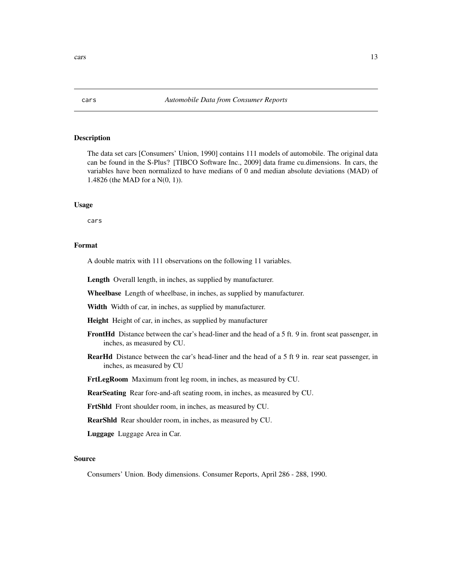The data set cars [Consumers' Union, 1990] contains 111 models of automobile. The original data can be found in the S-Plus? [TIBCO Software Inc., 2009] data frame cu.dimensions. In cars, the variables have been normalized to have medians of 0 and median absolute deviations (MAD) of 1.4826 (the MAD for a N(0, 1)).

#### Usage

cars

#### Format

A double matrix with 111 observations on the following 11 variables.

Length Overall length, in inches, as supplied by manufacturer.

Wheelbase Length of wheelbase, in inches, as supplied by manufacturer.

Width Width of car, in inches, as supplied by manufacturer.

Height Height of car, in inches, as supplied by manufacturer

- FrontHd Distance between the car's head-liner and the head of a 5 ft. 9 in. front seat passenger, in inches, as measured by CU.
- RearHd Distance between the car's head-liner and the head of a 5 ft 9 in. rear seat passenger, in inches, as measured by CU

FrtLegRoom Maximum front leg room, in inches, as measured by CU.

RearSeating Rear fore-and-aft seating room, in inches, as measured by CU.

FrtShld Front shoulder room, in inches, as measured by CU.

RearShld Rear shoulder room, in inches, as measured by CU.

Luggage Luggage Area in Car.

#### Source

Consumers' Union. Body dimensions. Consumer Reports, April 286 - 288, 1990.

<span id="page-12-0"></span>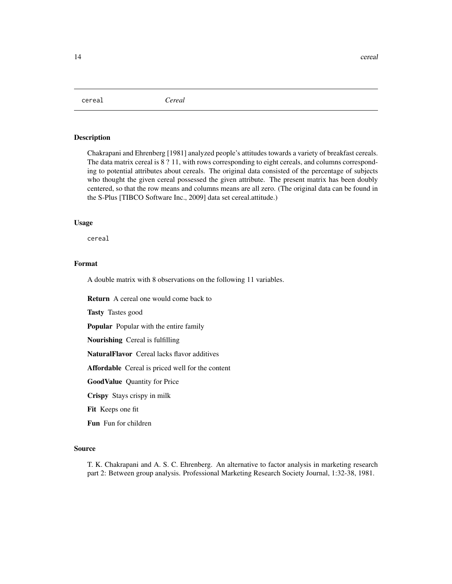<span id="page-13-0"></span>cereal *Cereal*

### **Description**

Chakrapani and Ehrenberg [1981] analyzed people's attitudes towards a variety of breakfast cereals. The data matrix cereal is 8 ? 11, with rows corresponding to eight cereals, and columns corresponding to potential attributes about cereals. The original data consisted of the percentage of subjects who thought the given cereal possessed the given attribute. The present matrix has been doubly centered, so that the row means and columns means are all zero. (The original data can be found in the S-Plus [TIBCO Software Inc., 2009] data set cereal.attitude.)

### Usage

cereal

### Format

A double matrix with 8 observations on the following 11 variables.

Return A cereal one would come back to

Tasty Tastes good

Popular Popular with the entire family

Nourishing Cereal is fulfilling

NaturalFlavor Cereal lacks flavor additives

Affordable Cereal is priced well for the content

GoodValue Quantity for Price

Crispy Stays crispy in milk

Fit Keeps one fit

Fun Fun for children

#### Source

T. K. Chakrapani and A. S. C. Ehrenberg. An alternative to factor analysis in marketing research part 2: Between group analysis. Professional Marketing Research Society Journal, 1:32-38, 1981.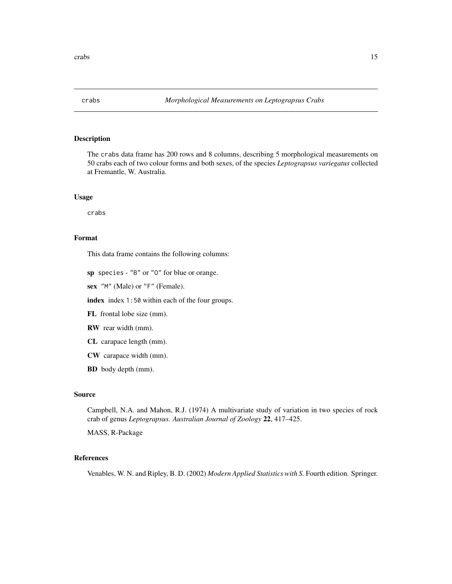<span id="page-14-0"></span>

The crabs data frame has 200 rows and 8 columns, describing 5 morphological measurements on 50 crabs each of two colour forms and both sexes, of the species *Leptograpsus variegatus* collected at Fremantle, W. Australia.

#### Usage

crabs

### Format

This data frame contains the following columns:

sp species - "B" or "O" for blue or orange.

sex "M" (Male) or "F" (Female).

index index 1:50 within each of the four groups.

- FL frontal lobe size (mm).
- RW rear width (mm).
- CL carapace length (mm).
- CW carapace width (mm).
- BD body depth (mm).

### Source

Campbell, N.A. and Mahon, R.J. (1974) A multivariate study of variation in two species of rock crab of genus *Leptograpsus. Australian Journal of Zoology* 22, 417–425.

MASS, R-Package

### References

Venables, W. N. and Ripley, B. D. (2002) *Modern Applied Statistics with S.* Fourth edition. Springer.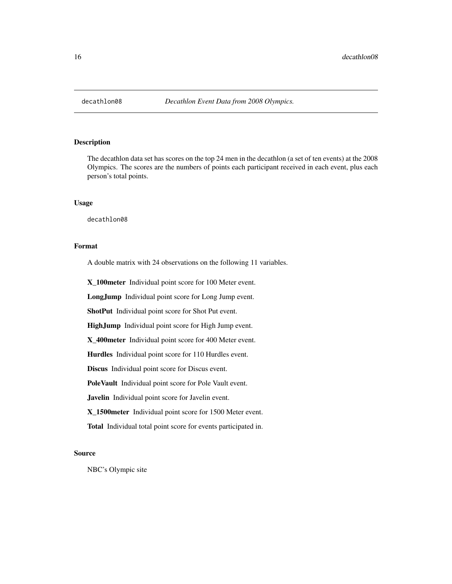<span id="page-15-0"></span>

The decathlon data set has scores on the top 24 men in the decathlon (a set of ten events) at the 2008 Olympics. The scores are the numbers of points each participant received in each event, plus each person's total points.

### Usage

decathlon08

### Format

A double matrix with 24 observations on the following 11 variables.

X\_100meter Individual point score for 100 Meter event.

LongJump Individual point score for Long Jump event.

ShotPut Individual point score for Shot Put event.

HighJump Individual point score for High Jump event.

X\_400meter Individual point score for 400 Meter event.

Hurdles Individual point score for 110 Hurdles event.

Discus Individual point score for Discus event.

PoleVault Individual point score for Pole Vault event.

Javelin Individual point score for Javelin event.

X\_1500meter Individual point score for 1500 Meter event.

Total Individual total point score for events participated in.

#### Source

NBC's Olympic site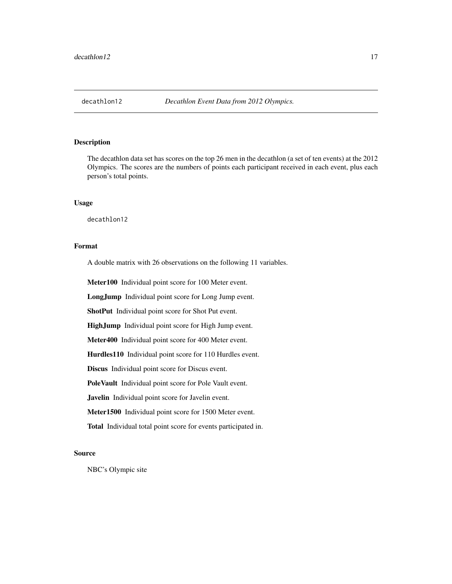<span id="page-16-0"></span>The decathlon data set has scores on the top 26 men in the decathlon (a set of ten events) at the 2012 Olympics. The scores are the numbers of points each participant received in each event, plus each person's total points.

### Usage

decathlon12

### Format

A double matrix with 26 observations on the following 11 variables.

Meter100 Individual point score for 100 Meter event.

LongJump Individual point score for Long Jump event.

ShotPut Individual point score for Shot Put event.

HighJump Individual point score for High Jump event.

Meter400 Individual point score for 400 Meter event.

Hurdles110 Individual point score for 110 Hurdles event.

Discus Individual point score for Discus event.

PoleVault Individual point score for Pole Vault event.

Javelin Individual point score for Javelin event.

Meter1500 Individual point score for 1500 Meter event.

Total Individual total point score for events participated in.

#### Source

NBC's Olympic site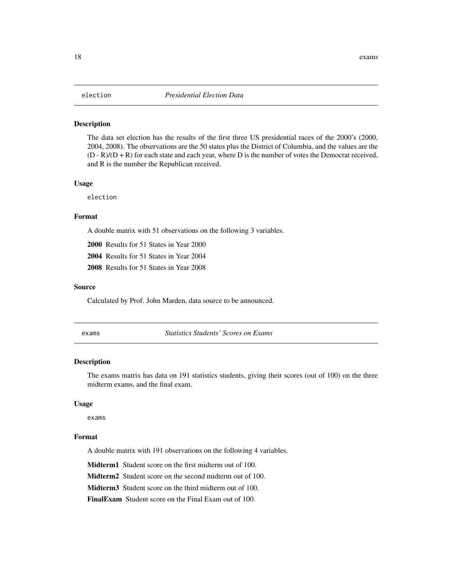<span id="page-17-0"></span>The data set election has the results of the first three US presidential races of the 2000's (2000, 2004, 2008). The observations are the 50 states plus the District of Columbia, and the values are the  $(D - R)/(D + R)$  for each state and each year, where D is the number of votes the Democrat received, and R is the number the Republican received.

#### Usage

election

### Format

A double matrix with 51 observations on the following 3 variables.

2000 Results for 51 States in Year 2000

2004 Results for 51 States in Year 2004

2008 Results for 51 States in Year 2008

#### Source

Calculated by Prof. John Marden, data source to be announced.

exams *Statistics Students' Scores on Exams*

#### **Description**

The exams matrix has data on 191 statistics students, giving their scores (out of 100) on the three midterm exams, and the final exam.

#### Usage

exams

#### Format

A double matrix with 191 observations on the following 4 variables.

Midterm1 Student score on the first midterm out of 100.

Midterm2 Student score on the second midterm out of 100.

Midterm3 Student score on the third midterm out of 100.

FinalExam Student score on the Final Exam out of 100.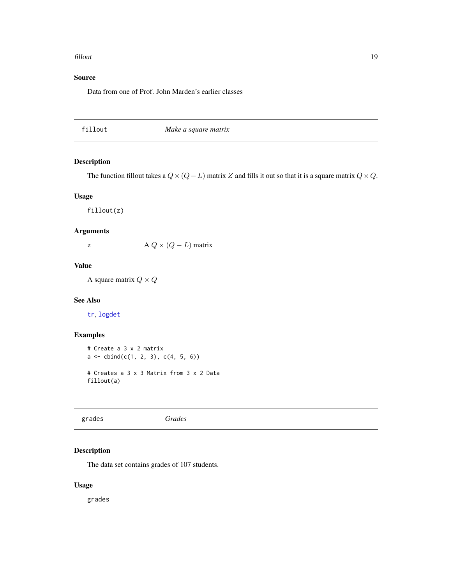#### <span id="page-18-0"></span>fillout that the contract of the contract of the contract of the contract of the contract of the contract of the contract of the contract of the contract of the contract of the contract of the contract of the contract of t

### Source

Data from one of Prof. John Marden's earlier classes

<span id="page-18-1"></span>

### Description

The function fillout takes a  $Q \times (Q - L)$  matrix Z and fills it out so that it is a square matrix  $Q \times Q$ .

#### Usage

fillout(z)

### Arguments

z  $A Q \times (Q - L)$  matrix

### Value

A square matrix  $Q \times Q$ 

### See Also

[tr](#page-42-1), [logdet](#page-22-1)

### Examples

```
# Create a 3 x 2 matrix
a \leftarrow \text{cbind}(c(1, 2, 3), c(4, 5, 6))# Creates a 3 x 3 Matrix from 3 x 2 Data
fillout(a)
```
grades *Grades*

### Description

The data set contains grades of 107 students.

### Usage

grades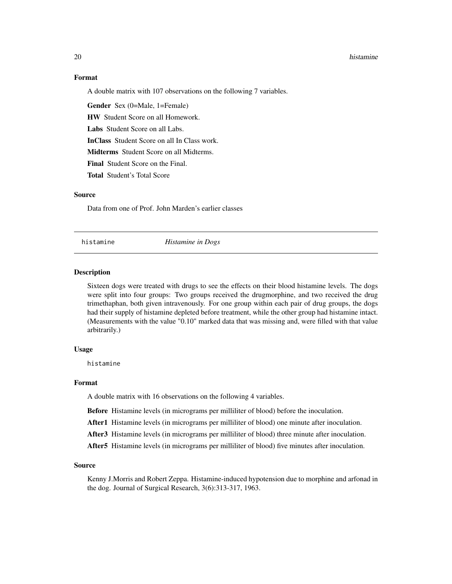#### Format

A double matrix with 107 observations on the following 7 variables.

Gender Sex (0=Male, 1=Female)

HW Student Score on all Homework.

Labs Student Score on all Labs.

InClass Student Score on all In Class work.

Midterms Student Score on all Midterms.

Final Student Score on the Final.

Total Student's Total Score

#### Source

Data from one of Prof. John Marden's earlier classes

histamine *Histamine in Dogs*

### Description

Sixteen dogs were treated with drugs to see the effects on their blood histamine levels. The dogs were split into four groups: Two groups received the drugmorphine, and two received the drug trimethaphan, both given intravenously. For one group within each pair of drug groups, the dogs had their supply of histamine depleted before treatment, while the other group had histamine intact. (Measurements with the value "0.10" marked data that was missing and, were filled with that value arbitrarily.)

### Usage

histamine

#### Format

A double matrix with 16 observations on the following 4 variables.

Before Histamine levels (in micrograms per milliliter of blood) before the inoculation.

After1 Histamine levels (in micrograms per milliliter of blood) one minute after inoculation.

After3 Histamine levels (in micrograms per milliliter of blood) three minute after inoculation.

After5 Histamine levels (in micrograms per milliliter of blood) five minutes after inoculation.

#### Source

Kenny J.Morris and Robert Zeppa. Histamine-induced hypotension due to morphine and arfonad in the dog. Journal of Surgical Research, 3(6):313-317, 1963.

<span id="page-19-0"></span>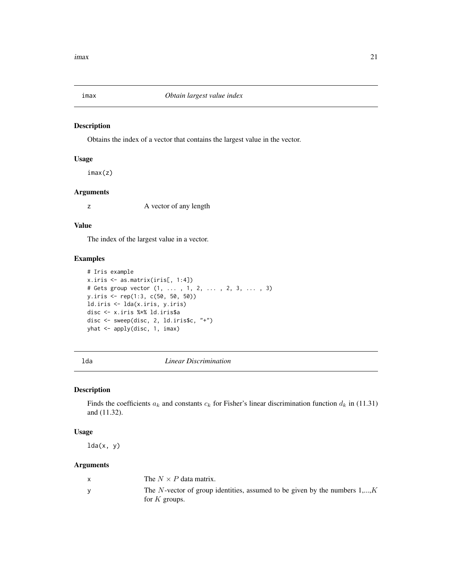<span id="page-20-1"></span><span id="page-20-0"></span>

Obtains the index of a vector that contains the largest value in the vector.

#### Usage

imax(z)

### Arguments

z A vector of any length

#### Value

The index of the largest value in a vector.

#### Examples

```
# Iris example
x.iris <- as.matrix(iris[, 1:4])
# Gets group vector (1, ... , 1, 2, ... , 2, 3, ... , 3)
y.iris <- rep(1:3, c(50, 50, 50))
ld.iris <- lda(x.iris, y.iris)
disc <- x.iris %*% ld.iris$a
disc <- sweep(disc, 2, ld.iris$c, "+")
yhat <- apply(disc, 1, imax)
```
### <span id="page-20-2"></span>lda *Linear Discrimination*

### Description

Finds the coefficients  $a_k$  and constants  $c_k$  for Fisher's linear discrimination function  $d_k$  in (11.31) and (11.32).

#### Usage

 $lda(x, y)$ 

#### Arguments

| The $N \times P$ data matrix.                                                                  |
|------------------------------------------------------------------------------------------------|
| The N-vector of group identities, assumed to be given by the numbers $1,,K$<br>for $K$ groups. |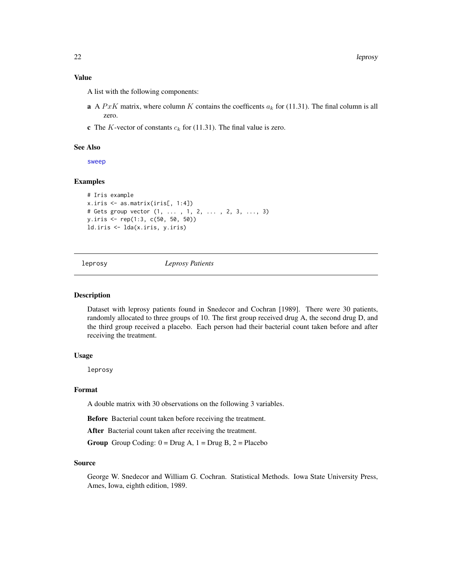### <span id="page-21-0"></span>Value

A list with the following components:

- **a** A PxK matrix, where column K contains the coefficents  $a_k$  for (11.31). The final column is all zero.
- **c** The K-vector of constants  $c_k$  for (11.31). The final value is zero.

#### See Also

[sweep](#page-0-0)

### Examples

```
# Iris example
x.iris <- as.matrix(iris[, 1:4])
# Gets group vector (1, ... , 1, 2, ... , 2, 3, ..., 3)
y.iris <- rep(1:3, c(50, 50, 50))
ld.iris <- lda(x.iris, y.iris)
```
leprosy *Leprosy Patients*

#### **Description**

Dataset with leprosy patients found in Snedecor and Cochran [1989]. There were 30 patients, randomly allocated to three groups of 10. The first group received drug A, the second drug D, and the third group received a placebo. Each person had their bacterial count taken before and after receiving the treatment.

#### Usage

leprosy

#### Format

A double matrix with 30 observations on the following 3 variables.

Before Bacterial count taken before receiving the treatment.

After Bacterial count taken after receiving the treatment.

**Group** Group Coding:  $0 = Drug A$ ,  $1 = Drug B$ ,  $2 = Placebo$ 

#### Source

George W. Snedecor and William G. Cochran. Statistical Methods. Iowa State University Press, Ames, Iowa, eighth edition, 1989.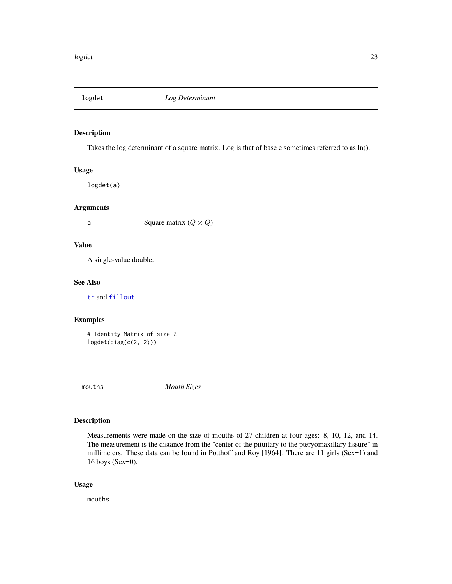<span id="page-22-1"></span><span id="page-22-0"></span>

Takes the log determinant of a square matrix. Log is that of base e sometimes referred to as ln().

### Usage

logdet(a)

### Arguments

a Square matrix  $(Q \times Q)$ 

#### Value

A single-value double.

#### See Also

[tr](#page-42-1) and [fillout](#page-18-1)

### Examples

# Identity Matrix of size 2 logdet(diag(c(2, 2)))

mouths *Mouth Sizes*

### Description

Measurements were made on the size of mouths of 27 children at four ages: 8, 10, 12, and 14. The measurement is the distance from the "center of the pituitary to the pteryomaxillary fissure" in millimeters. These data can be found in Potthoff and Roy [1964]. There are 11 girls (Sex=1) and 16 boys (Sex=0).

### Usage

mouths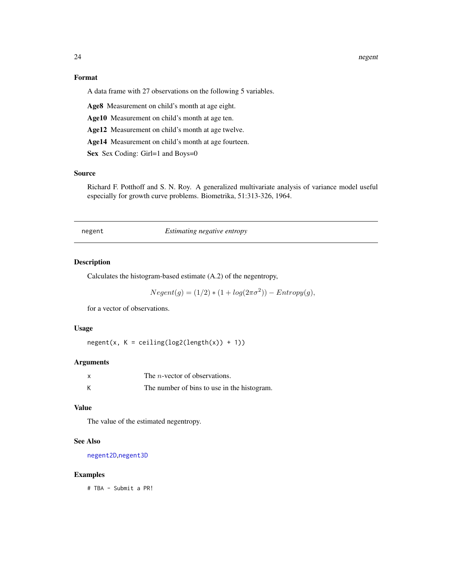24 negent

### Format

A data frame with 27 observations on the following 5 variables.

Age8 Measurement on child's month at age eight.

Age10 Measurement on child's month at age ten.

Age12 Measurement on child's month at age twelve.

Age14 Measurement on child's month at age fourteen.

Sex Sex Coding: Girl=1 and Boys=0

#### Source

Richard F. Potthoff and S. N. Roy. A generalized multivariate analysis of variance model useful especially for growth curve problems. Biometrika, 51:313-326, 1964.

<span id="page-23-1"></span>negent *Estimating negative entropy*

#### Description

Calculates the histogram-based estimate (A.2) of the negentropy,

$$
Negent(g) = (1/2) * (1 + log(2\pi\sigma^2)) - Entropy(g),
$$

for a vector of observations.

### Usage

 $negent(x, K = ceiling(log2(length(x)) + 1))$ 

#### Arguments

| X | The <i>n</i> -vector of observations.       |
|---|---------------------------------------------|
|   | The number of bins to use in the histogram. |

### Value

The value of the estimated negentropy.

### See Also

[negent2D](#page-24-1),[negent3D](#page-25-1)

#### Examples

# TBA - Submit a PR!

<span id="page-23-0"></span>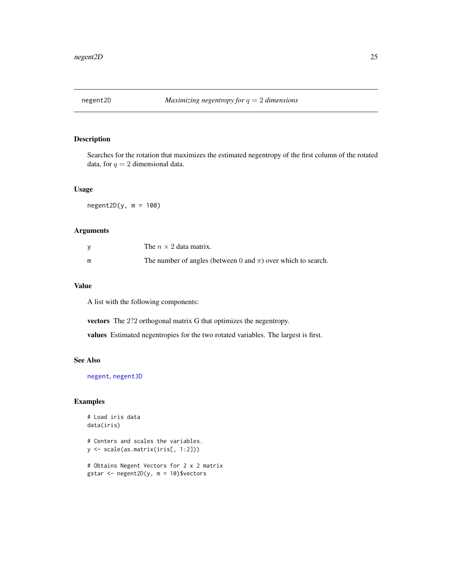<span id="page-24-1"></span><span id="page-24-0"></span>

Searches for the rotation that maximizes the estimated negentropy of the first column of the rotated data, for  $q = 2$  dimensional data.

#### Usage

 $negent2D(y, m = 100)$ 

### Arguments

|   | The $n \times 2$ data matrix.                                     |
|---|-------------------------------------------------------------------|
| m | The number of angles (between 0 and $\pi$ ) over which to search. |

### Value

A list with the following components:

vectors The 2?2 orthogonal matrix G that optimizes the negentropy.

values Estimated negentropies for the two rotated variables. The largest is first.

#### See Also

[negent](#page-23-1), [negent3D](#page-25-1)

### Examples

```
# Load iris data
data(iris)
```

```
# Centers and scales the variables.
y <- scale(as.matrix(iris[, 1:2]))
```

```
# Obtains Negent Vectors for 2 x 2 matrix
gstar <- negent2D(y, m = 10)$vectors
```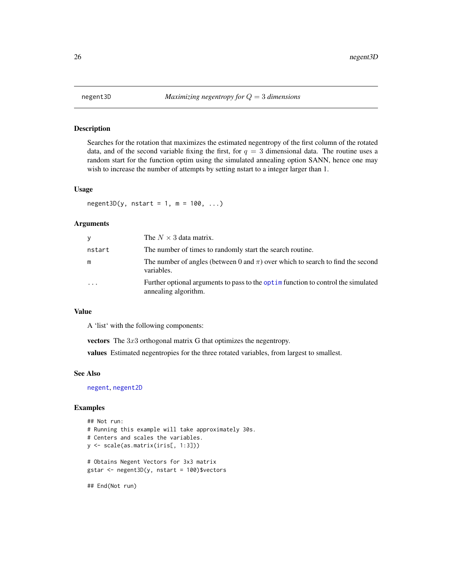Searches for the rotation that maximizes the estimated negentropy of the first column of the rotated data, and of the second variable fixing the first, for  $q = 3$  dimensional data. The routine uses a random start for the function optim using the simulated annealing option SANN, hence one may wish to increase the number of attempts by setting nstart to a integer larger than 1.

#### Usage

 $negent3D(y, nstart = 1, m = 100, ...)$ 

#### Arguments

| y                       | The $N \times 3$ data matrix.                                                                              |
|-------------------------|------------------------------------------------------------------------------------------------------------|
| nstart                  | The number of times to randomly start the search routine.                                                  |
| m                       | The number of angles (between 0 and $\pi$ ) over which to search to find the second<br>variables.          |
| $\cdot$ $\cdot$ $\cdot$ | Further optional arguments to pass to the optime function to control the simulated<br>annealing algorithm. |

### Value

A 'list' with the following components:

vectors The 3x3 orthogonal matrix G that optimizes the negentropy.

values Estimated negentropies for the three rotated variables, from largest to smallest.

#### See Also

[negent](#page-23-1), [negent2D](#page-24-1)

#### Examples

```
## Not run:
# Running this example will take approximately 30s.
# Centers and scales the variables.
y <- scale(as.matrix(iris[, 1:3]))
# Obtains Negent Vectors for 3x3 matrix
gstar <- negent3D(y, nstart = 100)$vectors
## End(Not run)
```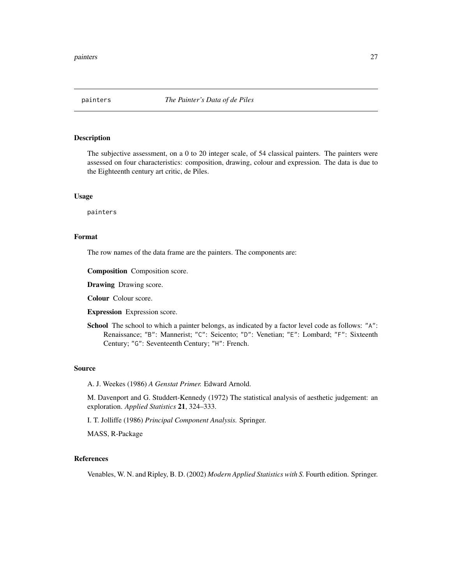<span id="page-26-0"></span>

The subjective assessment, on a 0 to 20 integer scale, of 54 classical painters. The painters were assessed on four characteristics: composition, drawing, colour and expression. The data is due to the Eighteenth century art critic, de Piles.

#### Usage

painters

### Format

The row names of the data frame are the painters. The components are:

Composition Composition score.

Drawing Drawing score.

Colour Colour score.

Expression Expression score.

School The school to which a painter belongs, as indicated by a factor level code as follows: "A": Renaissance; "B": Mannerist; "C": Seicento; "D": Venetian; "E": Lombard; "F": Sixteenth Century; "G": Seventeenth Century; "H": French.

#### Source

A. J. Weekes (1986) *A Genstat Primer.* Edward Arnold.

M. Davenport and G. Studdert-Kennedy (1972) The statistical analysis of aesthetic judgement: an exploration. *Applied Statistics* 21, 324–333.

I. T. Jolliffe (1986) *Principal Component Analysis.* Springer.

MASS, R-Package

#### References

Venables, W. N. and Ripley, B. D. (2002) *Modern Applied Statistics with S.* Fourth edition. Springer.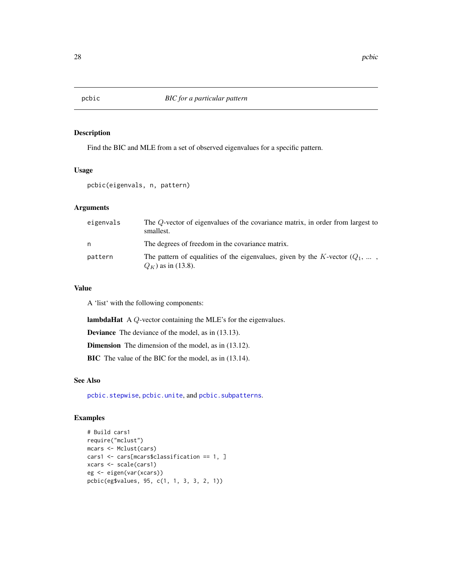<span id="page-27-1"></span><span id="page-27-0"></span>

Find the BIC and MLE from a set of observed eigenvalues for a specific pattern.

### Usage

pcbic(eigenvals, n, pattern)

### Arguments

| eigenvals | The Q-vector of eigenvalues of the covariance matrix, in order from largest to<br>smallest.                       |
|-----------|-------------------------------------------------------------------------------------------------------------------|
| n.        | The degrees of freedom in the covariance matrix.                                                                  |
| pattern   | The pattern of equalities of the eigenvalues, given by the K-vector $(Q_1, \ldots, Q_n)$<br>$Q_K$ ) as in (13.8). |

### Value

A 'list' with the following components:

lambdaHat A Q-vector containing the MLE's for the eigenvalues.

Deviance The deviance of the model, as in (13.13).

Dimension The dimension of the model, as in (13.12).

BIC The value of the BIC for the model, as in (13.14).

#### See Also

[pcbic.stepwise](#page-28-1), [pcbic.unite](#page-29-1), and [pcbic.subpatterns](#page-29-2).

### Examples

```
# Build cars1
require("mclust")
mcars <- Mclust(cars)
cars1 <- cars[mcars$classification == 1, ]
xcars <- scale(cars1)
eg <- eigen(var(xcars))
pcbic(eg$values, 95, c(1, 1, 3, 3, 2, 1))
```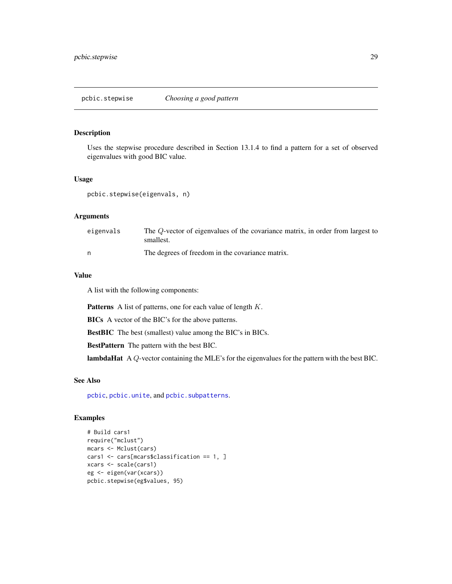<span id="page-28-1"></span><span id="page-28-0"></span>Uses the stepwise procedure described in Section 13.1.4 to find a pattern for a set of observed eigenvalues with good BIC value.

### Usage

pcbic.stepwise(eigenvals, n)

### Arguments

| eigenvals | The Q-vector of eigenvalues of the covariance matrix, in order from largest to<br>smallest. |
|-----------|---------------------------------------------------------------------------------------------|
|           | The degrees of freedom in the covariance matrix.                                            |

### Value

A list with the following components:

**Patterns** A list of patterns, one for each value of length  $K$ .

BICs A vector of the BIC's for the above patterns.

BestBIC The best (smallest) value among the BIC's in BICs.

BestPattern The pattern with the best BIC.

lambdaHat A Q-vector containing the MLE's for the eigenvalues for the pattern with the best BIC.

### See Also

[pcbic](#page-27-1), [pcbic.unite](#page-29-1), and [pcbic.subpatterns](#page-29-2).

### Examples

```
# Build cars1
require("mclust")
mcars <- Mclust(cars)
cars1 <- cars[mcars$classification == 1, ]
xcars <- scale(cars1)
eg <- eigen(var(xcars))
pcbic.stepwise(eg$values, 95)
```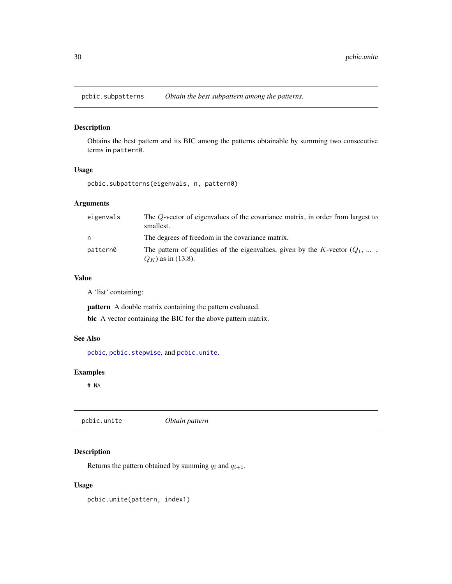<span id="page-29-2"></span><span id="page-29-0"></span>pcbic.subpatterns *Obtain the best subpattern among the patterns.*

### Description

Obtains the best pattern and its BIC among the patterns obtainable by summing two consecutive terms in pattern0.

### Usage

pcbic.subpatterns(eigenvals, n, pattern0)

### Arguments

| eigenvals | The Q-vector of eigenvalues of the covariance matrix, in order from largest to<br>smallest.                       |
|-----------|-------------------------------------------------------------------------------------------------------------------|
| n         | The degrees of freedom in the covariance matrix.                                                                  |
| pattern0  | The pattern of equalities of the eigenvalues, given by the K-vector $(Q_1, \ldots, Q_n)$<br>$Q_K$ ) as in (13.8). |

#### Value

A 'list' containing:

pattern A double matrix containing the pattern evaluated.

bic A vector containing the BIC for the above pattern matrix.

#### See Also

[pcbic](#page-27-1), [pcbic.stepwise](#page-28-1), and [pcbic.unite](#page-29-1).

#### Examples

# NA

<span id="page-29-1"></span>pcbic.unite *Obtain pattern*

### Description

Returns the pattern obtained by summing  $q_i$  and  $q_{i+1}$ .

### Usage

pcbic.unite(pattern, index1)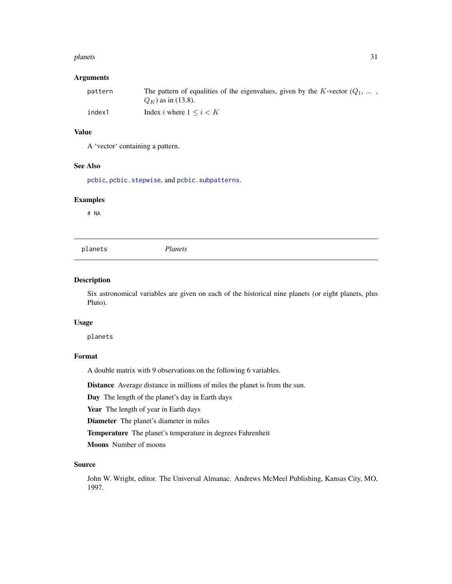#### <span id="page-30-0"></span>planets 31

### Arguments

| pattern | The pattern of equalities of the eigenvalues, given by the K-vector $(Q_1, \ldots, Q_n)$ |
|---------|------------------------------------------------------------------------------------------|
|         | $Q_K$ ) as in (13.8).                                                                    |
| index1  | Index i where $1 \leq i \leq K$                                                          |

### Value

A 'vector' containing a pattern.

### See Also

[pcbic](#page-27-1), [pcbic.stepwise](#page-28-1), and [pcbic.subpatterns](#page-29-2).

#### Examples

# NA

planets *Planets*

#### Description

Six astronomical variables are given on each of the historical nine planets (or eight planets, plus Pluto).

#### Usage

planets

### Format

A double matrix with 9 observations on the following 6 variables.

Distance Average distance in millions of miles the planet is from the sun.

Day The length of the planet's day in Earth days

Year The length of year in Earth days

Diameter The planet's diameter in miles

Temperature The planet's temperature in degrees Fahrenheit

Moons Number of moons

#### Source

John W. Wright, editor. The Universal Almanac. Andrews McMeel Publishing, Kansas City, MO, 1997.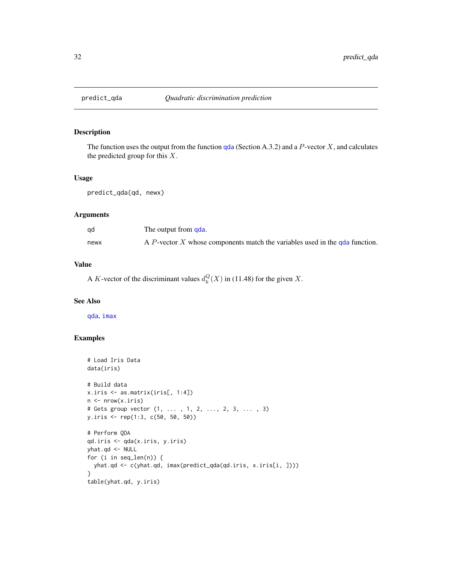<span id="page-31-1"></span><span id="page-31-0"></span>

The function uses the output from the function [qda](#page-32-1) (Section A.3.2) and a  $P$ -vector  $X$ , and calculates the predicted group for this  $X$ .

#### Usage

```
predict_qda(qd, newx)
```
### Arguments

| ad   | The output from qda.                                                        |
|------|-----------------------------------------------------------------------------|
| newx | A P-vector X whose components match the variables used in the gda function. |

### Value

A K-vector of the discriminant values  $d_k^Q(X)$  in (11.48) for the given X.

#### See Also

[qda](#page-32-1), [imax](#page-20-1)

#### Examples

```
# Load Iris Data
data(iris)
# Build data
x.iris <- as.matrix(iris[, 1:4])
n \leftarrow \text{nrow}(x.iris)# Gets group vector (1, ... , 1, 2, ..., 2, 3, ... , 3)
y.iris <- rep(1:3, c(50, 50, 50))
# Perform QDA
qd.iris <- qda(x.iris, y.iris)
yhat.qd <- NULL
for (i in seq_len(n)) {
  yhat.qd <- c(yhat.qd, imax(predict_qda(qd.iris, x.iris[i, ])))
}
table(yhat.qd, y.iris)
```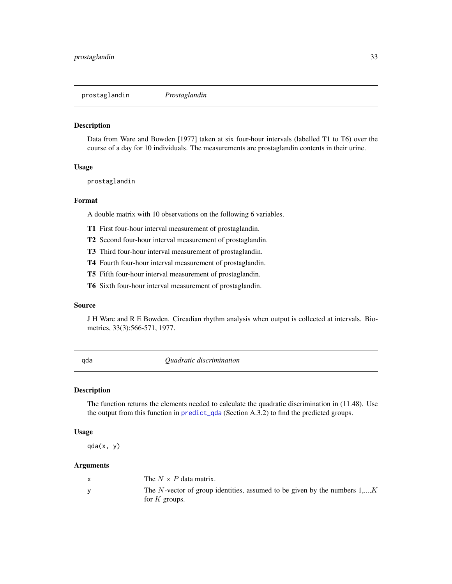<span id="page-32-0"></span>prostaglandin *Prostaglandin*

### Description

Data from Ware and Bowden [1977] taken at six four-hour intervals (labelled T1 to T6) over the course of a day for 10 individuals. The measurements are prostaglandin contents in their urine.

#### Usage

prostaglandin

#### Format

A double matrix with 10 observations on the following 6 variables.

- T1 First four-hour interval measurement of prostaglandin.
- T2 Second four-hour interval measurement of prostaglandin.
- T3 Third four-hour interval measurement of prostaglandin.
- T4 Fourth four-hour interval measurement of prostaglandin.
- T5 Fifth four-hour interval measurement of prostaglandin.
- T6 Sixth four-hour interval measurement of prostaglandin.

#### Source

J H Ware and R E Bowden. Circadian rhythm analysis when output is collected at intervals. Biometrics, 33(3):566-571, 1977.

<span id="page-32-1"></span>qda *Quadratic discrimination*

#### Description

The function returns the elements needed to calculate the quadratic discrimination in (11.48). Use the output from this function in [predict\\_qda](#page-31-1) (Section A.3.2) to find the predicted groups.

### Usage

qda(x, y)

#### Arguments

| The $N \times P$ data matrix.                                                                  |
|------------------------------------------------------------------------------------------------|
| The N-vector of group identities, assumed to be given by the numbers $1,,K$<br>for $K$ groups. |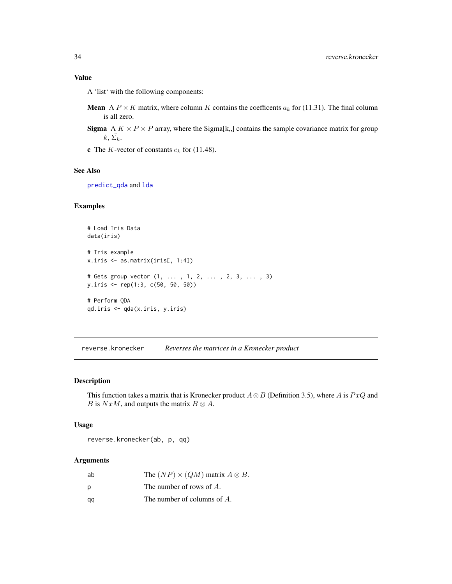### <span id="page-33-0"></span>Value

A 'list' with the following components:

- **Mean** A  $P \times K$  matrix, where column K contains the coefficents  $a_k$  for (11.31). The final column is all zero.
- **Sigma** A  $K \times P \times P$  array, where the Sigma[k,,] contains the sample covariance matrix for group  $k, \hat{\Sigma_k}.$
- **c** The K-vector of constants  $c_k$  for (11.48).

#### See Also

[predict\\_qda](#page-31-1) and [lda](#page-20-2)

### Examples

```
# Load Iris Data
data(iris)
# Iris example
x.iris <- as.matrix(iris[, 1:4])
# Gets group vector (1, ... , 1, 2, ... , 2, 3, ... , 3)
y.iris <- rep(1:3, c(50, 50, 50))
# Perform QDA
qd.iris <- qda(x.iris, y.iris)
```
reverse.kronecker *Reverses the matrices in a Kronecker product*

#### Description

This function takes a matrix that is Kronecker product  $A \otimes B$  (Definition 3.5), where A is PxQ and B is NxM, and outputs the matrix  $B \otimes A$ .

### Usage

reverse.kronecker(ab, p, qq)

#### Arguments

| ab | The $(NP) \times (QM)$ matrix $A \otimes B$ . |
|----|-----------------------------------------------|
| Ŋ  | The number of rows of $A$ .                   |
| aa | The number of columns of $A$ .                |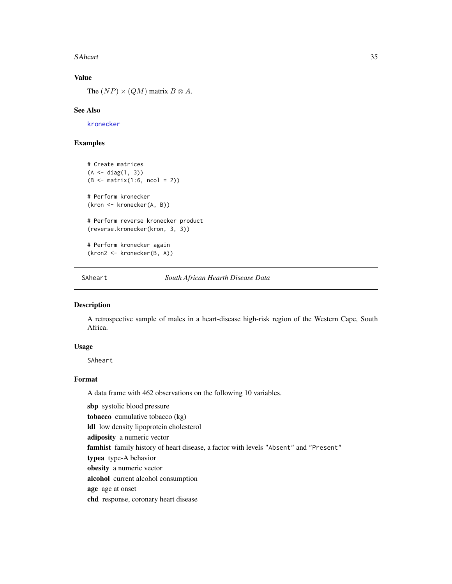#### <span id="page-34-0"></span>SAheart 35

### Value

The  $(NP) \times (QM)$  matrix  $B \otimes A$ .

### See Also

[kronecker](#page-0-0)

### Examples

```
# Create matrices
(A \leq diag(1, 3))(B \leq - matrix(1:6, ncol = 2))
# Perform kronecker
(kron <- kronecker(A, B))
# Perform reverse kronecker product
(reverse.kronecker(kron, 3, 3))
# Perform kronecker again
(kron2 <- kronecker(B, A))
```
SAheart *South African Hearth Disease Data*

#### Description

A retrospective sample of males in a heart-disease high-risk region of the Western Cape, South Africa.

#### Usage

SAheart

### Format

A data frame with 462 observations on the following 10 variables.

sbp systolic blood pressure tobacco cumulative tobacco (kg) ldl low density lipoprotein cholesterol adiposity a numeric vector famhist family history of heart disease, a factor with levels "Absent" and "Present" typea type-A behavior obesity a numeric vector alcohol current alcohol consumption age age at onset chd response, coronary heart disease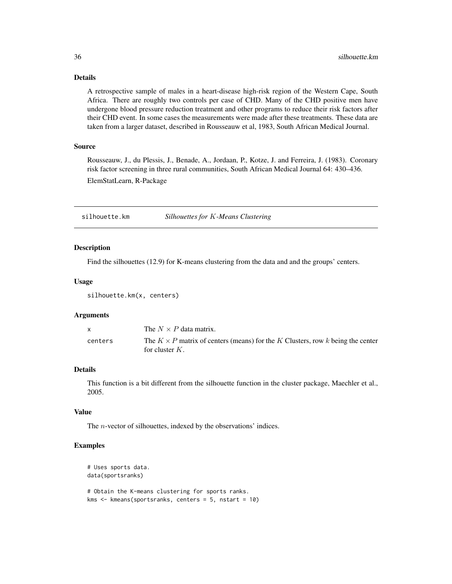### Details

A retrospective sample of males in a heart-disease high-risk region of the Western Cape, South Africa. There are roughly two controls per case of CHD. Many of the CHD positive men have undergone blood pressure reduction treatment and other programs to reduce their risk factors after their CHD event. In some cases the measurements were made after these treatments. These data are taken from a larger dataset, described in Rousseauw et al, 1983, South African Medical Journal.

### Source

Rousseauw, J., du Plessis, J., Benade, A., Jordaan, P., Kotze, J. and Ferreira, J. (1983). Coronary risk factor screening in three rural communities, South African Medical Journal 64: 430–436.

ElemStatLearn, R-Package

<span id="page-35-1"></span>silhouette.km *Silhouettes for* K*-Means Clustering*

#### Description

Find the silhouettes (12.9) for K-means clustering from the data and and the groups' centers.

#### Usage

silhouette.km(x, centers)

#### Arguments

| $\mathsf{x}$ | The $N \times P$ data matrix.                                                                              |
|--------------|------------------------------------------------------------------------------------------------------------|
| centers      | The $K \times P$ matrix of centers (means) for the K Clusters, row k being the center<br>for cluster $K$ . |

#### Details

This function is a bit different from the silhouette function in the cluster package, Maechler et al., 2005.

### Value

The n-vector of silhouettes, indexed by the observations' indices.

#### Examples

```
# Uses sports data.
data(sportsranks)
# Obtain the K-means clustering for sports ranks.
kms <- kmeans(sportsranks, centers = 5, nstart = 10)
```
<span id="page-35-0"></span>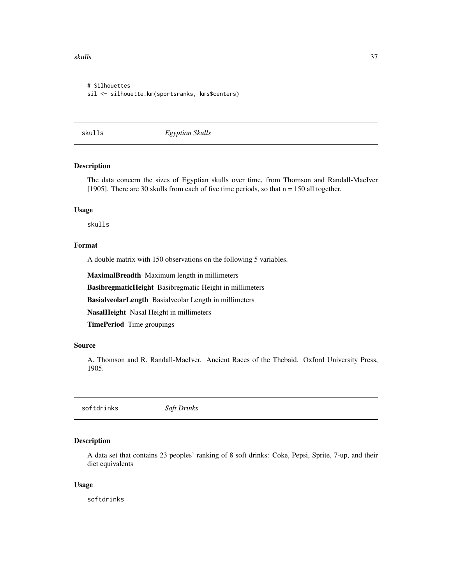<span id="page-36-0"></span>skulls and the set of the set of the set of the set of the set of the set of the set of the set of the set of the set of the set of the set of the set of the set of the set of the set of the set of the set of the set of th

```
# Silhouettes
sil <- silhouette.km(sportsranks, kms$centers)
```
skulls *Egyptian Skulls*

### Description

The data concern the sizes of Egyptian skulls over time, from Thomson and Randall-MacIver [1905]. There are 30 skulls from each of five time periods, so that n = 150 all together.

#### Usage

skulls

#### Format

A double matrix with 150 observations on the following 5 variables.

MaximalBreadth Maximum length in millimeters

BasibregmaticHeight Basibregmatic Height in millimeters

BasialveolarLength Basialveolar Length in millimeters

NasalHeight Nasal Height in millimeters

TimePeriod Time groupings

### Source

A. Thomson and R. Randall-MacIver. Ancient Races of the Thebaid. Oxford University Press, 1905.

softdrinks *Soft Drinks*

#### Description

A data set that contains 23 peoples' ranking of 8 soft drinks: Coke, Pepsi, Sprite, 7-up, and their diet equivalents

#### Usage

softdrinks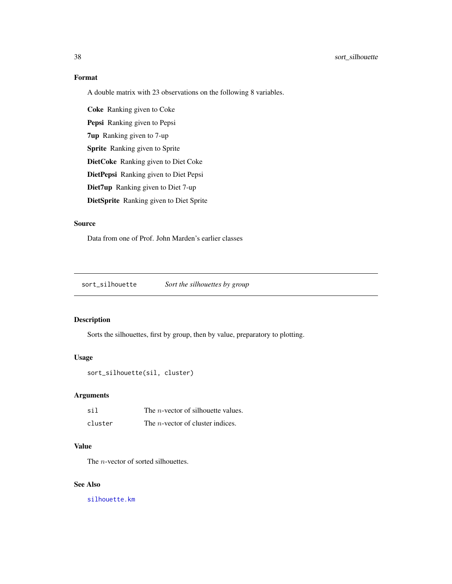### Format

A double matrix with 23 observations on the following 8 variables.

Coke Ranking given to Coke Pepsi Ranking given to Pepsi 7up Ranking given to 7-up Sprite Ranking given to Sprite DietCoke Ranking given to Diet Coke DietPepsi Ranking given to Diet Pepsi Diet7up Ranking given to Diet 7-up DietSprite Ranking given to Diet Sprite

### Source

Data from one of Prof. John Marden's earlier classes

sort\_silhouette *Sort the silhouettes by group*

### Description

Sorts the silhouettes, first by group, then by value, preparatory to plotting.

#### Usage

```
sort_silhouette(sil, cluster)
```
### Arguments

| sil     | The <i>n</i> -vector of silhouette values. |
|---------|--------------------------------------------|
| cluster | The <i>n</i> -vector of cluster indices.   |

### Value

The *n*-vector of sorted silhouettes.

#### See Also

[silhouette.km](#page-35-1)

<span id="page-37-0"></span>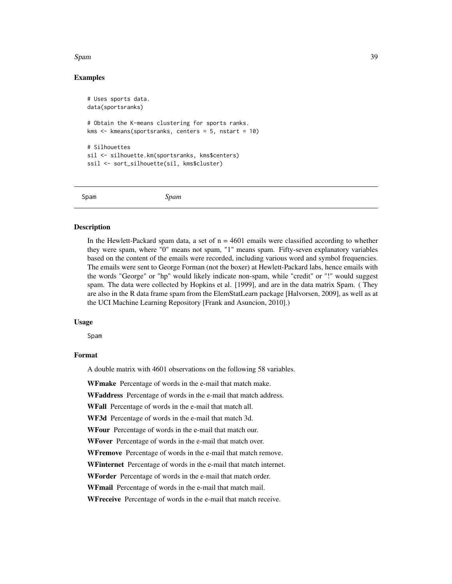#### <span id="page-38-0"></span>Spam 39

### Examples

```
# Uses sports data.
data(sportsranks)
# Obtain the K-means clustering for sports ranks.
kms \leftarrow kmeans(sportsranks, centers = 5, nstart = 10)
# Silhouettes
sil <- silhouette.km(sportsranks, kms$centers)
ssil <- sort_silhouette(sil, kms$cluster)
```
Spam *Spam*

#### Description

In the Hewlett-Packard spam data, a set of  $n = 4601$  emails were classified according to whether they were spam, where "0" means not spam, "1" means spam. Fifty-seven explanatory variables based on the content of the emails were recorded, including various word and symbol frequencies. The emails were sent to George Forman (not the boxer) at Hewlett-Packard labs, hence emails with the words "George" or "hp" would likely indicate non-spam, while "credit" or "!" would suggest spam. The data were collected by Hopkins et al. [1999], and are in the data matrix Spam. ( They are also in the R data frame spam from the ElemStatLearn package [Halvorsen, 2009], as well as at the UCI Machine Learning Repository [Frank and Asuncion, 2010].)

#### Usage

Spam

#### Format

A double matrix with 4601 observations on the following 58 variables.

WFmake Percentage of words in the e-mail that match make.

WFaddress Percentage of words in the e-mail that match address.

WFall Percentage of words in the e-mail that match all.

WF3d Percentage of words in the e-mail that match 3d.

WFour Percentage of words in the e-mail that match our.

WFover Percentage of words in the e-mail that match over.

WFremove Percentage of words in the e-mail that match remove.

WFinternet Percentage of words in the e-mail that match internet.

WForder Percentage of words in the e-mail that match order.

WFmail Percentage of words in the e-mail that match mail.

WFreceive Percentage of words in the e-mail that match receive.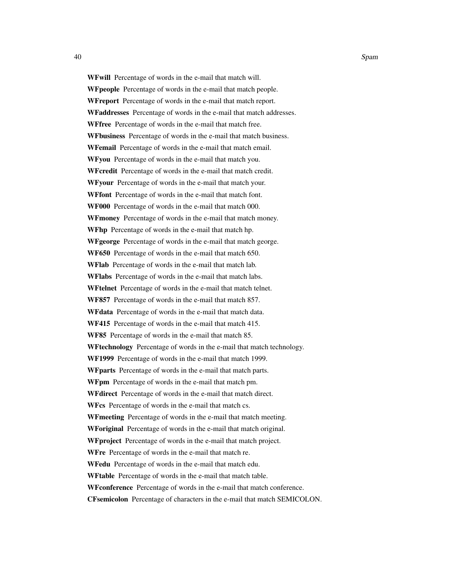WFwill Percentage of words in the e-mail that match will. WFpeople Percentage of words in the e-mail that match people. WFreport Percentage of words in the e-mail that match report. WFaddresses Percentage of words in the e-mail that match addresses. WFfree Percentage of words in the e-mail that match free. WFbusiness Percentage of words in the e-mail that match business. WFemail Percentage of words in the e-mail that match email. WFyou Percentage of words in the e-mail that match you. WFcredit Percentage of words in the e-mail that match credit. WFyour Percentage of words in the e-mail that match your. WFfont Percentage of words in the e-mail that match font. WF000 Percentage of words in the e-mail that match 000. WFmoney Percentage of words in the e-mail that match money. WFhp Percentage of words in the e-mail that match hp. WFgeorge Percentage of words in the e-mail that match george. WF650 Percentage of words in the e-mail that match 650. WFlab Percentage of words in the e-mail that match lab. WFlabs Percentage of words in the e-mail that match labs. WFtelnet Percentage of words in the e-mail that match telnet. WF857 Percentage of words in the e-mail that match 857. WFdata Percentage of words in the e-mail that match data. WF415 Percentage of words in the e-mail that match 415. WF85 Percentage of words in the e-mail that match 85. WFtechnology Percentage of words in the e-mail that match technology. WF1999 Percentage of words in the e-mail that match 1999. WFparts Percentage of words in the e-mail that match parts. WFpm Percentage of words in the e-mail that match pm. WFdirect Percentage of words in the e-mail that match direct. WFcs Percentage of words in the e-mail that match cs. WFmeeting Percentage of words in the e-mail that match meeting. WForiginal Percentage of words in the e-mail that match original. WFproject Percentage of words in the e-mail that match project. WFre Percentage of words in the e-mail that match re. WFedu Percentage of words in the e-mail that match edu. WFtable Percentage of words in the e-mail that match table. WFconference Percentage of words in the e-mail that match conference. CFsemicolon Percentage of characters in the e-mail that match SEMICOLON.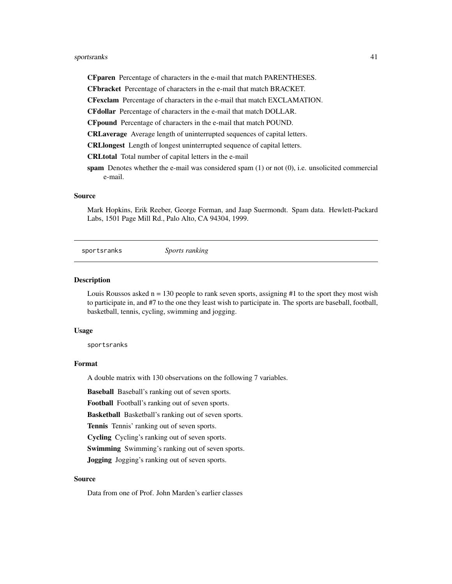### <span id="page-40-0"></span>sportsranks 41

CFparen Percentage of characters in the e-mail that match PARENTHESES.

CFbracket Percentage of characters in the e-mail that match BRACKET.

CFexclam Percentage of characters in the e-mail that match EXCLAMATION.

CFdollar Percentage of characters in the e-mail that match DOLLAR.

CFpound Percentage of characters in the e-mail that match POUND.

CRLaverage Average length of uninterrupted sequences of capital letters.

CRLlongest Length of longest uninterrupted sequence of capital letters.

CRLtotal Total number of capital letters in the e-mail

spam Denotes whether the e-mail was considered spam (1) or not (0), i.e. unsolicited commercial e-mail.

#### Source

Mark Hopkins, Erik Reeber, George Forman, and Jaap Suermondt. Spam data. Hewlett-Packard Labs, 1501 Page Mill Rd., Palo Alto, CA 94304, 1999.

sportsranks *Sports ranking*

#### Description

Louis Roussos asked  $n = 130$  people to rank seven sports, assigning  $#1$  to the sport they most wish to participate in, and #7 to the one they least wish to participate in. The sports are baseball, football, basketball, tennis, cycling, swimming and jogging.

#### Usage

sportsranks

#### Format

A double matrix with 130 observations on the following 7 variables.

Baseball Baseball's ranking out of seven sports.

Football Football's ranking out of seven sports.

Basketball Basketball's ranking out of seven sports.

Tennis Tennis' ranking out of seven sports.

Cycling Cycling's ranking out of seven sports.

Swimming Swimming's ranking out of seven sports.

Jogging Jogging's ranking out of seven sports.

### Source

Data from one of Prof. John Marden's earlier classes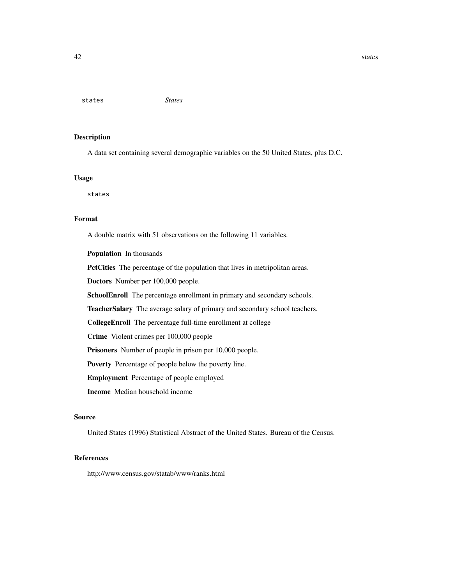<span id="page-41-0"></span>states *States*

### Description

A data set containing several demographic variables on the 50 United States, plus D.C.

### Usage

states

#### Format

A double matrix with 51 observations on the following 11 variables.

Population In thousands

PctCities The percentage of the population that lives in metripolitan areas.

Doctors Number per 100,000 people.

SchoolEnroll The percentage enrollment in primary and secondary schools.

TeacherSalary The average salary of primary and secondary school teachers.

CollegeEnroll The percentage full-time enrollment at college

Crime Violent crimes per 100,000 people

Prisoners Number of people in prison per 10,000 people.

Poverty Percentage of people below the poverty line.

Employment Percentage of people employed

Income Median household income

#### Source

United States (1996) Statistical Abstract of the United States. Bureau of the Census.

### References

http://www.census.gov/statab/www/ranks.html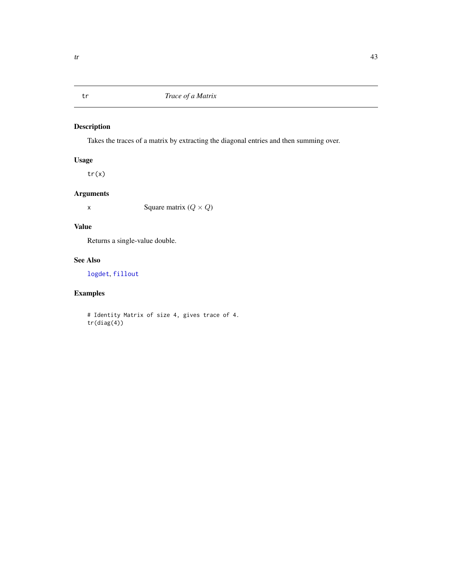<span id="page-42-1"></span><span id="page-42-0"></span>

Takes the traces of a matrix by extracting the diagonal entries and then summing over.

### Usage

tr(x)

### Arguments

x Square matrix  $(Q \times Q)$ 

### Value

Returns a single-value double.

### See Also

[logdet](#page-22-1), [fillout](#page-18-1)

### Examples

# Identity Matrix of size 4, gives trace of 4. tr(diag(4))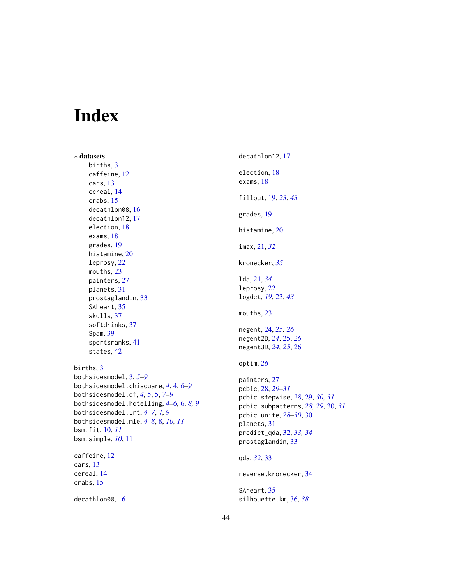# <span id="page-43-0"></span>Index

∗ datasets births, [3](#page-2-0) caffeine, [12](#page-11-0) cars, [13](#page-12-0) cereal, [14](#page-13-0) crabs, [15](#page-14-0) decathlon08, [16](#page-15-0) decathlon12, [17](#page-16-0) election, [18](#page-17-0) exams, [18](#page-17-0) grades, [19](#page-18-0) histamine, [20](#page-19-0) leprosy, [22](#page-21-0) mouths, [23](#page-22-0) painters, [27](#page-26-0) planets, [31](#page-30-0) prostaglandin, [33](#page-32-0) SAheart, [35](#page-34-0) skulls, [37](#page-36-0) softdrinks, [37](#page-36-0) Spam, [39](#page-38-0) sportsranks, [41](#page-40-0) states, [42](#page-41-0) births, [3](#page-2-0) bothsidesmodel, [3,](#page-2-0) *[5](#page-4-0)[–9](#page-8-0)*

```
bothsidesmodel.chisquare, 4, 4, 6–9
bothsidesmodel.df, 4, 5, 5, 7–9
bothsidesmodel.hotelling, 4–6, 6, 8, 9
bothsidesmodel.lrt, 4–7, 7, 9
bothsidesmodel.mle, 4–8, 8, 10, 11
bsm.fit, 10, 11
bsm.simple, 10, 11
```
caffeine, [12](#page-11-0) cars, [13](#page-12-0) cereal, [14](#page-13-0) crabs, [15](#page-14-0)

decathlon08, [16](#page-15-0)

decathlon12, [17](#page-16-0) election, [18](#page-17-0) exams, [18](#page-17-0) fillout, [19,](#page-18-0) *[23](#page-22-0)*, *[43](#page-42-0)* grades, [19](#page-18-0) histamine, [20](#page-19-0) imax, [21,](#page-20-0) *[32](#page-31-0)* kronecker, *[35](#page-34-0)* lda, [21,](#page-20-0) *[34](#page-33-0)* leprosy, [22](#page-21-0) logdet, *[19](#page-18-0)*, [23,](#page-22-0) *[43](#page-42-0)* mouths, [23](#page-22-0) negent, [24,](#page-23-0) *[25,](#page-24-0) [26](#page-25-0)* negent2D, *[24](#page-23-0)*, [25,](#page-24-0) *[26](#page-25-0)* negent3D, *[24,](#page-23-0) [25](#page-24-0)*, [26](#page-25-0) optim, *[26](#page-25-0)* painters, [27](#page-26-0) pcbic, [28,](#page-27-0) *[29](#page-28-0)[–31](#page-30-0)* pcbic.stepwise, *[28](#page-27-0)*, [29,](#page-28-0) *[30,](#page-29-0) [31](#page-30-0)* pcbic.subpatterns, *[28,](#page-27-0) [29](#page-28-0)*, [30,](#page-29-0) *[31](#page-30-0)* pcbic.unite, *[28](#page-27-0)[–30](#page-29-0)*, [30](#page-29-0) planets, [31](#page-30-0) predict\_qda, [32,](#page-31-0) *[33,](#page-32-0) [34](#page-33-0)* prostaglandin, [33](#page-32-0) qda, *[32](#page-31-0)*, [33](#page-32-0) reverse.kronecker, [34](#page-33-0) SAheart, [35](#page-34-0) silhouette.km, [36,](#page-35-0) *[38](#page-37-0)*